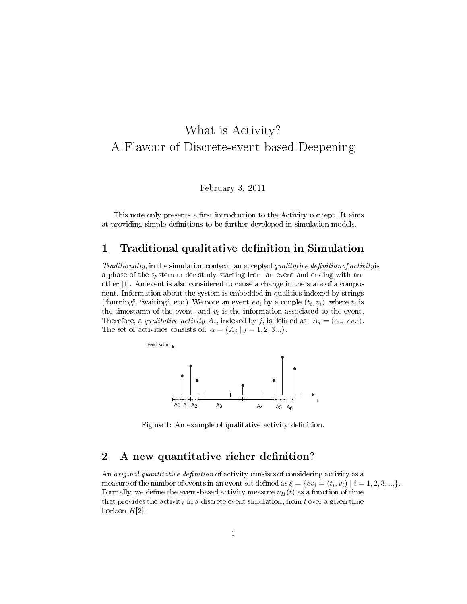# What is Activity? A Flavour of Discrete-event based Deepening

February 3, 2011

This note only presents a first introduction to the Activity concept. It aims at providing simple definitions to be further developed in simulation models.

#### 1 Traditional qualitative definition in Simulation

 $Traditionally,$  in the simulation context, an accepted qualitative definition of activity is a phase of the system under study starting from an event and ending with another [1]. An event is also considered to cause a change in the state of a component. Information about the system is embedded in qualities indexed by strings ("burning", "waiting", etc.) We note an event  $ev_i$  by a couple  $(t_i, v_i)$ , where  $t_i$  is the timestamp of the event, and  $v_i$  is the information associated to the event. Therefore, a qualitative activity  $A_j$ , indexed by j, is defined as:  $A_j = (ev_i, ev_{i'})$ . The set of activities consists of:  $\alpha = \{A_j \mid j = 1, 2, 3...\}$ .



Figure 1: An example of qualitative activity definition.

### 2 A new quantitative richer definition?

An original quantitative definition of activity consists of considering activity as a measure of the number of events in an event set defined as  $\xi = \{ev_i = (t_i, v_i) \mid i = 1, 2, 3, ...\}$ . Formally, we define the event-based activity measure  $\nu_H(t)$  as a function of time that provides the activity in a discrete event simulation, from  $t$  over a given time horizon  $H[2]$ :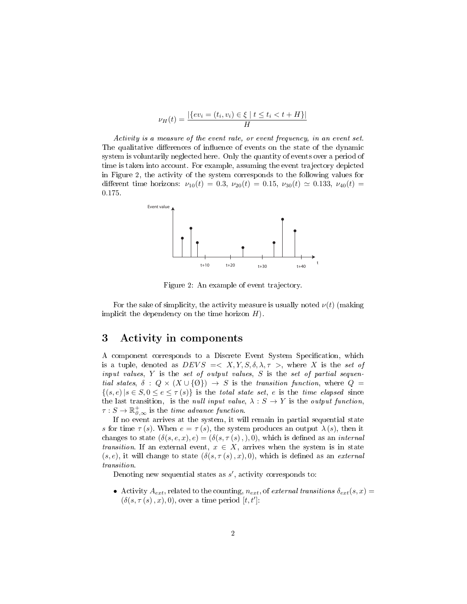$$
\nu_H(t) = \frac{|\{ev_i = (t_i, v_i) \in \xi \mid t \le t_i < t + H\}|}{H}
$$

Activity is a measure of the event rate, or event frequency, in an event set. The qualitative differences of influence of events on the state of the dynamic system is voluntarily neglected here. Only the quantity of events over a period of time is taken into account. For example, assuming the event trajectory depicted in Figure 2, the activity of the system corresponds to the following values for different time horizons:  $\nu_{10}(t) = 0.3$ ,  $\nu_{20}(t) = 0.15$ ,  $\nu_{30}(t) \approx 0.133$ ,  $\nu_{40}(t) =$ 0.175.



Figure 2: An example of event trajectory.

For the sake of simplicity, the activity measure is usually noted  $\nu(t)$  (making implicit the dependency on the time horizon  $H$ ).

#### 3 Activity in components

A component corresponds to a Discrete Event System Specification, which is a tuple, denoted as  $DEVS = \langle X, Y, S, \delta, \lambda, \tau \rangle$ , where X is the set of input values,  $Y$  is the set of output values,  $S$  is the set of partial sequential states,  $\delta : Q \times (X \cup \{0\}) \rightarrow S$  is the transition function, where  $Q =$  $\{(s, e) | s \in S, 0 \le e \le \tau(s)\}\$ is the total state set, e is the time elapsed since the last transition, is the null input value,  $\lambda : S \to Y$  is the output function,  $\tau : S \to \mathbb{R}^+_{0,\infty}$  is the time advance function.

If no event arrives at the system, it will remain in partial sequential state s for time  $\tau(s)$ . When  $e = \tau(s)$ , the system produces an output  $\lambda(s)$ , then it changes to state  $(\delta(s, e, x), e) = (\delta(s, \tau(s),), 0)$ , which is defined as an *internal transition*. If an external event,  $x \in X$ , arrives when the system is in state  $(s, e)$ , it will change to state  $(\delta(s, \tau(s), x), 0)$ , which is defined as an *external* transition.

Denoting new sequential states as  $s'$ , activity corresponds to:

• Activity  $A_{ext}$ , related to the counting,  $n_{ext}$ , of external transitions  $\delta_{ext}(s,x)$  $(\delta(s, \tau(s), x), 0)$ , over a time period  $[t, t']$ :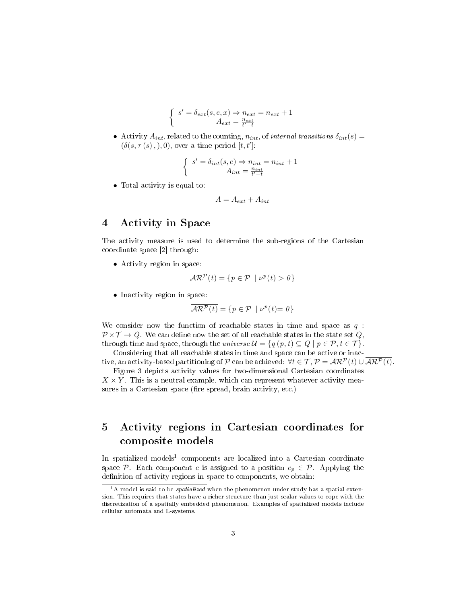$$
\left\{ \begin{array}{c} s' = \delta_{ext}(s,e,x) \Rightarrow n_{ext} = n_{ext} + 1 \\ A_{ext} = \frac{n_{ext}}{t'-t} \end{array} \right.
$$

• Activity  $A_{int}$ , related to the counting,  $n_{int}$ , of internal transitions  $\delta_{int}(s)$  =  $(\delta(s, \tau(s),), 0)$ , over a time period  $[t, t']$ :

$$
\left\{ \begin{array}{c} s' = \delta_{int}(s,e) \Rightarrow n_{int} = n_{int} + 1 \\ A_{int} = \frac{n_{int}}{t'-t} \end{array} \right.
$$

• Total activity is equal to:

$$
A = A_{ext} + A_{int}
$$

#### 4 Activity in Space

The activity measure is used to determine the sub-regions of the Cartesian coordinate space [2] through:

• Activity region in space:

$$
\mathcal{AR}^{\mathcal{P}}(t) = \{ p \in \mathcal{P} \mid \nu^{p}(t) > 0 \}
$$

• Inactivity region in space:

$$
\overline{\mathcal{AR}^{\mathcal{P}}(t)} = \{ p \in \mathcal{P} \mid \nu^{p}(t) = 0 \}
$$

We consider now the function of reachable states in time and space as  $q$ :  $\mathcal{P} \times \mathcal{T} \rightarrow Q$ . We can define now the set of all reachable states in the state set Q, through time and space, through the universe  $\mathcal{U} = \{q(p, t) \subseteq Q \mid p \in \mathcal{P}, t \in \mathcal{T}\}.$ 

Considering that all reachable states in time and space can be active or inactive, an activity-based partitioning of P can be achieved:  $\forall t \in \mathcal{T}, \mathcal{P} = \mathcal{AR}^{\mathcal{P}}(t) \cup \overline{\mathcal{AR}^{\mathcal{P}}(t)}$ .

Figure 3 depicts activity values for two-dimensional Cartesian coordinates  $X \times Y$ . This is a neutral example, which can represent whatever activity measures in a Cartesian space (fire spread, brain activity, etc.)

## 5 Activity regions in Cartesian coordinates for composite models

In spatialized models<sup>1</sup> components are localized into a Cartesian coordinate space P. Each component c is assigned to a position  $c_p \in \mathcal{P}$ . Applying the definition of activity regions in space to components, we obtain:

 $1A$  model is said to be *spatialized* when the phenomenon under study has a spatial extension. This requires that states have a richer structure than just scalar values to cope with the discretization of a spatially embedded phenomenon. Examples of spatialized models include cellular automata and L-systems.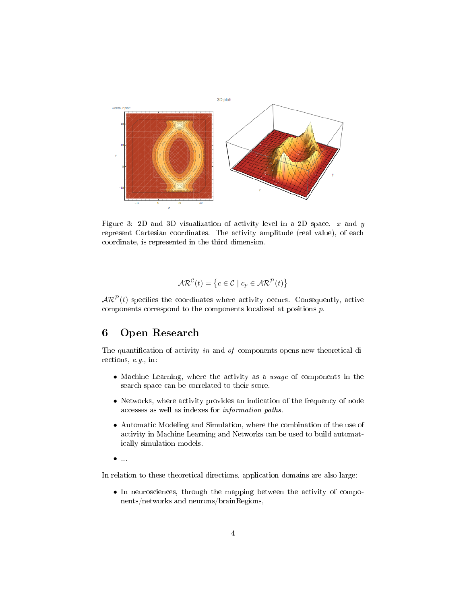

Figure 3: 2D and 3D visualization of activity level in a 2D space.  $x$  and  $y$ represent Cartesian coordinates. The activity amplitude (real value), of each coordinate, is represented in the third dimension.

$$
AR^{\mathcal{C}}(t) = \{c \in \mathcal{C} \mid c_p \in AR^{\mathcal{P}}(t)\}\
$$

 $\mathcal{AR}^{\mathcal{P}}(t)$  specifies the coordinates where activity occurs. Consequently, active components correspond to the components localized at positions p.

## 6 Open Research

The quantification of activity in and of components opens new theoretical directions, e.g., in:

- Machine Learning, where the activity as a usage of components in the search space can be correlated to their score.
- Networks, where activity provides an indication of the frequency of node accesses as well as indexes for information paths.
- Automatic Modeling and Simulation, where the combination of the use of activity in Machine Learning and Networks can be used to build automatically simulation models.
- $\bullet$  ...

In relation to these theoretical directions, application domains are also large:

• In neurosciences, through the mapping between the activity of components/networks and neurons/brainRegions,